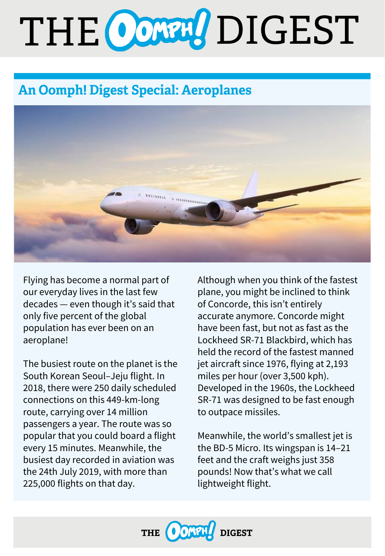# THE CONNU DIGEST

# **An Oomph! Digest Special: Aeroplanes**



Flying has become a normal part of our everyday lives in the last few decades — even though it's said that only five percent of the global population has ever been on an aeroplane!

The busiest route on the planet is the South Korean Seoul–Jeju flight. In 2018, there were 250 daily scheduled connections on this 449-km-long route, carrying over 14 million passengers a year. The route was so popular that you could board a flight every 15 minutes. Meanwhile, the busiest day recorded in aviation was the 24th July 2019, with more than 225,000 flights on that day.

Although when you think of the fastest plane, you might be inclined to think of Concorde, this isn't entirely accurate anymore. Concorde might have been fast, but not as fast as the Lockheed SR-71 Blackbird, which has held the record of the fastest manned jet aircraft since 1976, flying at 2,193 miles per hour (over 3,500 kph). Developed in the 1960s, the Lockheed SR-71 was designed to be fast enough to outpace missiles.

Meanwhile, the world's smallest jet is the BD-5 Micro. Its wingspan is 14–21 feet and the craft weighs just 358 pounds! Now that's what we call lightweight flight.

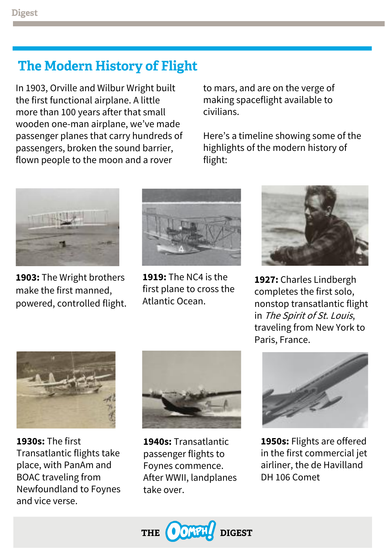# **The Modern History of Flight**

In 1903, Orville and Wilbur Wright built the first functional airplane. A little more than 100 years after that small wooden one-man airplane, we've made passenger planes that carry hundreds of passengers, broken the sound barrier, flown people to the moon and a rover

to mars, and are on the verge of making spaceflight available to civilians.

Here's a timeline showing some of the highlights of the modern history of flight:



**1903:** The Wright brothers make the first manned, powered, controlled flight.



**1919:** The NC4 is the first plane to cross the Atlantic Ocean.



**1927:** Charles Lindbergh completes the first solo, nonstop transatlantic flight in The Spirit of St. Louis, traveling from New York to Paris, France.



**1930s:** The first Transatlantic flights take place, with PanAm and BOAC traveling from Newfoundland to Foynes and vice verse.



**1940s:** Transatlantic passenger flights to Foynes commence. After WWII, landplanes take over.



**1950s:** Flights are offered in the first commercial jet airliner, the de Havilland DH 106 Comet

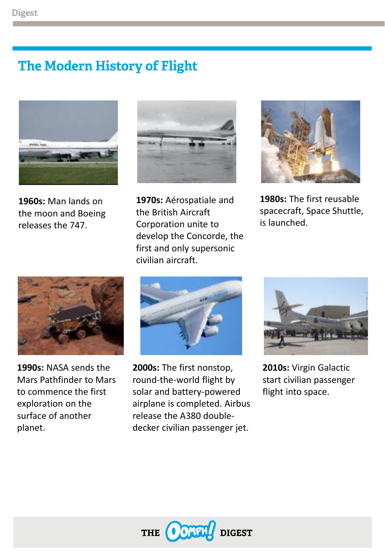# **The Modern History of Flight**



**1960s:** Man lands on the moon and Boeing releases the 747.



**1970s:** Aérospatiale and the British Aircraft Corporation unite to develop the Concorde, the first and only supersonic civilian aircraft.



**1980s:** The first reusable spacecraft, Space Shuttle, is launched.



**1990s:** NASA sends the Mars Pathfinder to Mars to commence the first exploration on the surface of another planet.



**2000s:** The first nonstop, round-the-world flight by solar and battery-powered airplane is completed. Airbus release the A380 doubledecker civilian passenger jet.



**2010s:** Virgin Galactic start civilian passenger flight into space.

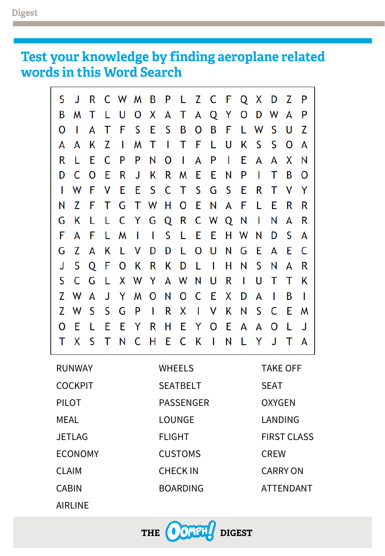# Test your knowledge by finding aeroplane related<br>words in this Word Search

| S | J            | R     |   |                |  | C W M B P L Z C F Q X D Z P     |     |           |              |              |              |              |              |
|---|--------------|-------|---|----------------|--|---------------------------------|-----|-----------|--------------|--------------|--------------|--------------|--------------|
| В |              | M T   |   |                |  | L U O X A T A Q Y O D W A       |     |           |              |              |              |              | $\mathsf{P}$ |
| O | $\mathbf{I}$ | A     |   |                |  | T F S E S B O B F L W S         |     |           |              |              |              | U            | <sub>Z</sub> |
| A | A            | K     | Z | $\blacksquare$ |  | <b>MTITFLU</b>                  |     |           |              | K S S        |              | 0            | A            |
| R | L            | E C   |   | $\mathsf{P}$   |  | PNOI                            | A P | $\bar{1}$ |              |              | E A A X N    |              |              |
| D |              | C O E |   |                |  | R J K R M E E N                 |     |           | P            | $\mathbf{I}$ | т            | B            | $\mathbf{O}$ |
|   |              | W F V |   |                |  | E E S C T S G S E               |     |           |              | R            | $\top$       | $\mathsf{V}$ | - Y          |
| Ν | Z            |       |   |                |  | F T G T W H O E N A F L E       |     |           |              |              |              | R            | R            |
| G | K            | L.    |   |                |  | L C Y G Q R C W Q N I           |     |           |              |              | N            | A            | R            |
| F | A            | - F - |   |                |  | L M I I S L E E H W N           |     |           |              |              | D            | - S          | A            |
| G |              |       |   |                |  | Z A K L V D D L O U N G E A E C |     |           |              |              |              |              |              |
|   | S.           |       |   |                |  | Q F O K R K D L I               |     | H.        | N            | S N          |              | A            | R            |
| S |              | C G L |   |                |  | X W Y A W N U R                 |     |           | $\mathbf{1}$ | U T          |              | T.           | - K          |
|   |              |       |   |                |  | Z W A J Y M O N O C E X D A     |     |           |              |              | $\mathbf{I}$ | Β            | $\mathbf{I}$ |
|   | Z W          |       |   |                |  | S S G P I R X I V K N S C       |     |           |              |              |              | -E.          | M            |
|   | E.           | L     | E |                |  | EYRHEYOE                        |     |           |              | A A O        |              | - L          | J.           |
|   |              |       |   |                |  | T X S T N C H E C K I N L       |     |           |              |              | YJTA         |              |              |

| <b>RUNWAY</b>  | <b>WHEELS</b>    | <b>TAKE OFF</b>    |
|----------------|------------------|--------------------|
| <b>COCKPIT</b> | <b>SEATBELT</b>  | <b>SEAT</b>        |
| <b>PILOT</b>   | <b>PASSENGER</b> | <b>OXYGEN</b>      |
| MEAL           | <b>LOUNGE</b>    | LANDING            |
| <b>JETLAG</b>  | <b>FLIGHT</b>    | <b>FIRST CLASS</b> |
| <b>ECONOMY</b> | <b>CUSTOMS</b>   | <b>CREW</b>        |
| <b>CLAIM</b>   | <b>CHECKIN</b>   | <b>CARRY ON</b>    |
| <b>CABIN</b>   | <b>BOARDING</b>  | <b>ATTENDANT</b>   |
|                |                  |                    |

AIRLINE

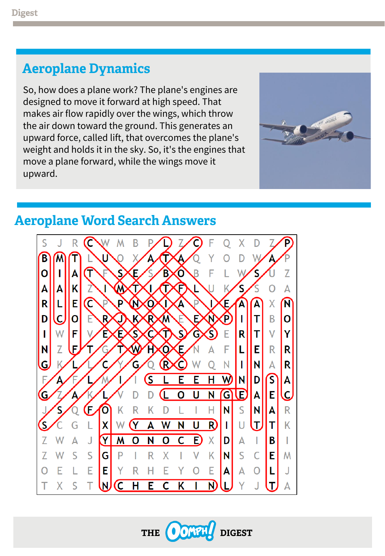# **Aeroplane Dynamics**

So, how does a plane work? The plane's engines are designed to move it forward at high speed. That makes air flow rapidly over the wings, which throw the air down toward the ground. This generates an upward force, called lift, that overcomes the plane's weight and holds it in the sky. So, it's the engines that move a plane forward, while the wings move it upward.



### **Aeroplane Word Search Answers**